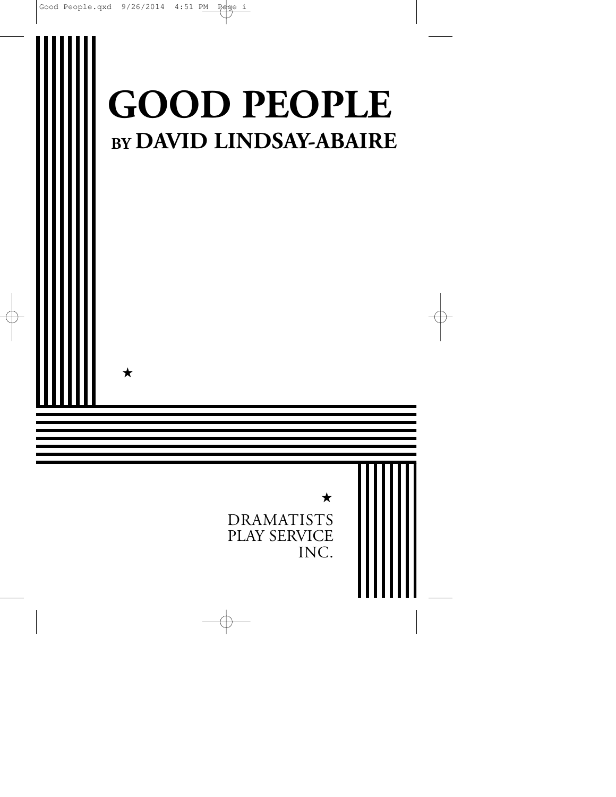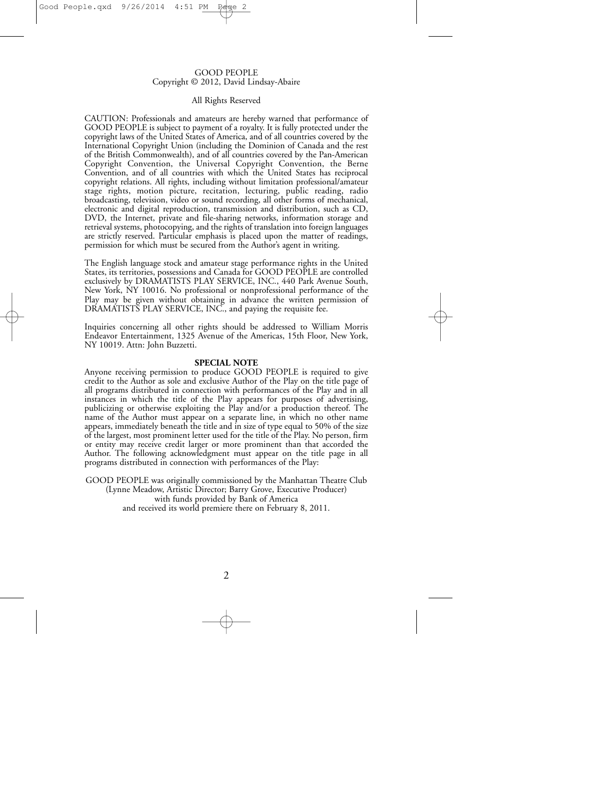### GOOD PEOPLE Copyright © 2012, David Lindsay-Abaire

### All Rights Reserved

CAUTION: Professionals and amateurs are hereby warned that performance of GOOD PEOPLE is subject to payment of a royalty. It is fully protected under the copyright laws of the United States of America, and of all countries covered by the International Copyright Union (including the Dominion of Canada and the rest of the British Commonwealth), and of all countries covered by the Pan-American Copyright Convention, the Universal Copyright Convention, the Berne Convention, and of all countries with which the United States has reciprocal copyright relations. All rights, including without limitation professional/amateur stage rights, motion picture, recitation, lecturing, public reading, radio broadcasting, television, video or sound recording, all other forms of mechanical, electronic and digital reproduction, transmission and distribution, such as CD, DVD, the Internet, private and file-sharing networks, information storage and retrieval systems, photocopying, and the rights of translation into foreign languages are strictly reserved. Particular emphasis is placed upon the matter of readings, permission for which must be secured from the Author's agent in writing.

The English language stock and amateur stage performance rights in the United States, its territories, possessions and Canada for GOOD PEOPLE are controlled exclusively by DRAMATISTS PLAY SERVICE, INC., 440 Park Avenue South, New York, NY 10016. No professional or nonprofessional performance of the Play may be given without obtaining in advance the written permission of DRAMATISTS PLAY SERVICE, INC., and paying the requisite fee.

Inquiries concerning all other rights should be addressed to William Morris Endeavor Entertainment, 1325 Avenue of the Americas, 15th Floor, New York, NY 10019. Attn: John Buzzetti.

### **SPECIAL NOTE**

Anyone receiving permission to produce GOOD PEOPLE is required to give credit to the Author as sole and exclusive Author of the Play on the title page of all programs distributed in connection with performances of the Play and in all instances in which the title of the Play appears for purposes of advertising, publicizing or otherwise exploiting the Play and/or a production thereof. The name of the Author must appear on a separate line, in which no other name appears, immediately beneath the title and in size of type equal to 50% of the size of the largest, most prominent letter used for the title of the Play. No person, firm or entity may receive credit larger or more prominent than that accorded the Author. The following acknowledgment must appear on the title page in all programs distributed in connection with performances of the Play:

GOOD PEOPLE was originally commissioned by the Manhattan Theatre Club (Lynne Meadow, Artistic Director; Barry Grove, Executive Producer) with funds provided by Bank of America and received its world premiere there on February 8, 2011.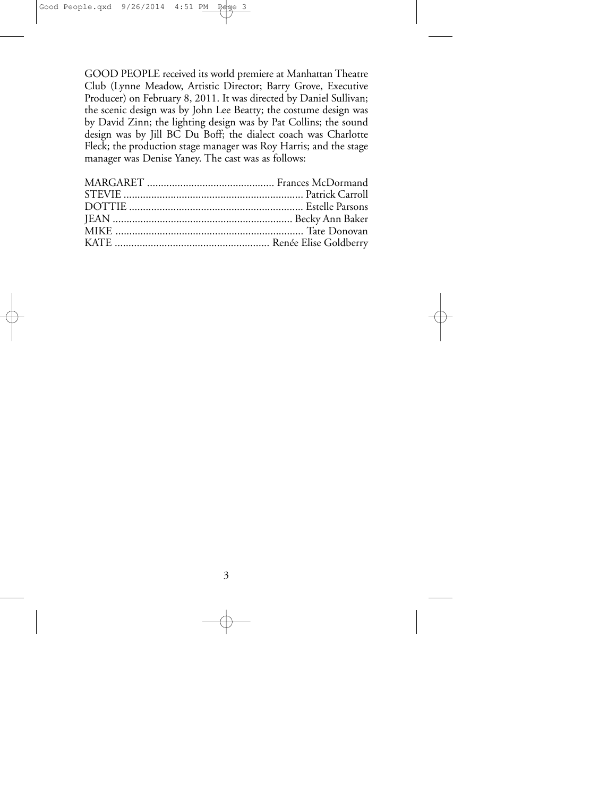GOOD PEOPLE received its world premiere at Manhattan Theatre Club (Lynne Meadow, Artistic Director; Barry Grove, Executive Producer) on February 8, 2011. It was directed by Daniel Sullivan; the scenic design was by John Lee Beatty; the costume design was by David Zinn; the lighting design was by Pat Collins; the sound design was by Jill BC Du Boff; the dialect coach was Charlotte Fleck; the production stage manager was Roy Harris; and the stage manager was Denise Yaney. The cast was as follows: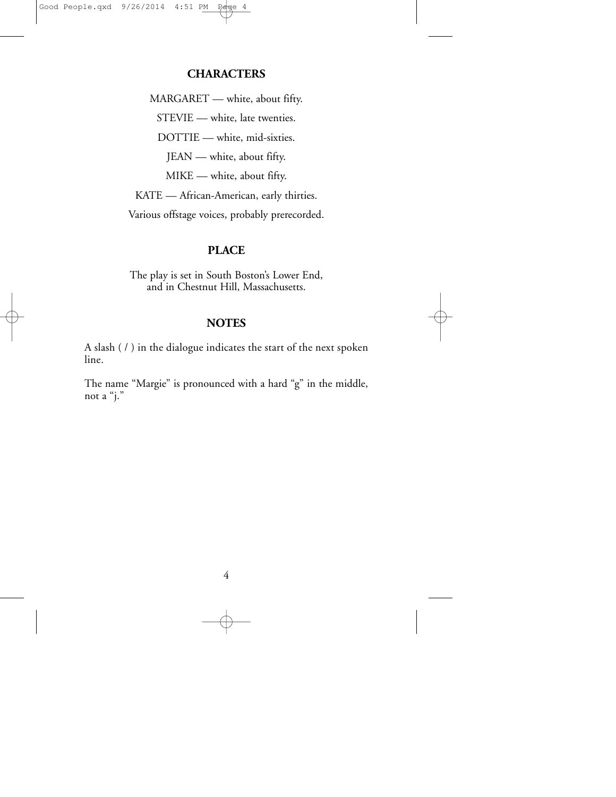### **CHARACTERS**

MARGARET — white, about fifty. STEVIE — white, late twenties. DOTTIE — white, mid-sixties. JEAN — white, about fifty. MIKE — white, about fifty. KATE — African-American, early thirties. Various offstage voices, probably prerecorded.

### **PLACE**

The play is set in South Boston's Lower End, and in Chestnut Hill, Massachusetts.

## **NOTES**

A slash ( / ) in the dialogue indicates the start of the next spoken line.

The name "Margie" is pronounced with a hard "g" in the middle, not a "j."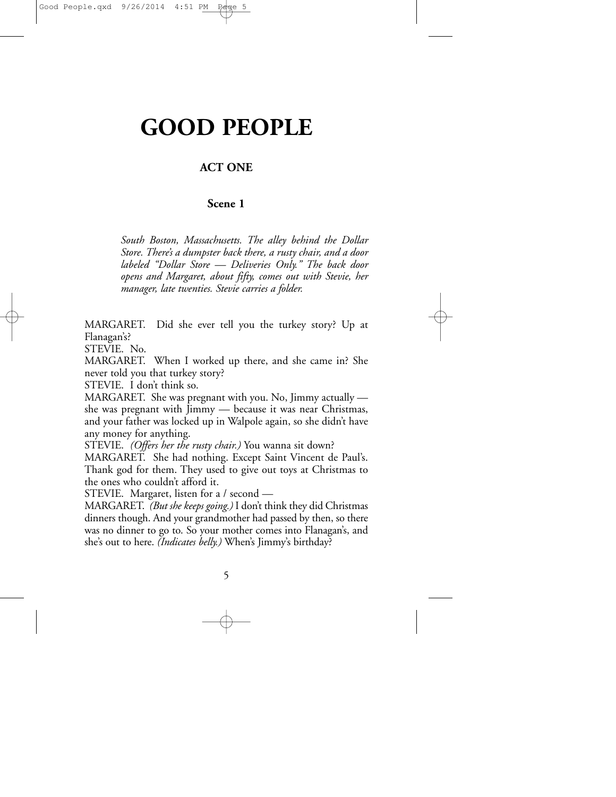# **GOOD PEOPLE**

## **ACT ONE**

## **Scene 1**

*South Boston, Massachusetts. The alley behind the Dollar Store. There's a dumpster back there, a rusty chair, and a door labeled "Dollar Store — Deliveries Only." The back door opens and Margaret, about fifty, comes out with Stevie, her manager, late twenties. Stevie carries a folder.*

MARGARET. Did she ever tell you the turkey story? Up at Flanagan's?

STEVIE. No.

MARGARET. When I worked up there, and she came in? She never told you that turkey story?

STEVIE. I don't think so.

MARGARET. She was pregnant with you. No, Jimmy actually she was pregnant with Jimmy — because it was near Christmas, and your father was locked up in Walpole again, so she didn't have any money for anything.

STEVIE. *(Offers her the rusty chair.)* You wanna sit down?

MARGARET. She had nothing. Except Saint Vincent de Paul's. Thank god for them. They used to give out toys at Christmas to the ones who couldn't afford it.

STEVIE. Margaret, listen for a / second —

MARGARET. *(But she keeps going.)* I don't think they did Christmas dinners though. And your grandmother had passed by then, so there was no dinner to go to. So your mother comes into Flanagan's, and she's out to here. *(Indicates belly.)* When's Jimmy's birthday?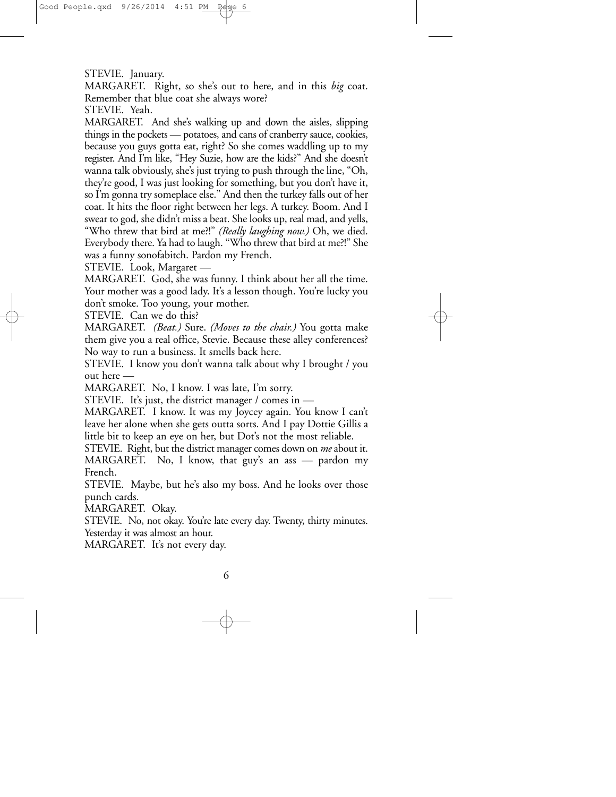STEVIE. January.

MARGARET. Right, so she's out to here, and in this *big* coat. Remember that blue coat she always wore?

STEVIE. Yeah.

MARGARET. And she's walking up and down the aisles, slipping things in the pockets — potatoes, and cans of cranberry sauce, cookies, because you guys gotta eat, right? So she comes waddling up to my register. And I'm like, "Hey Suzie, how are the kids?" And she doesn't wanna talk obviously, she's just trying to push through the line, "Oh, they're good, I was just looking for something, but you don't have it, so I'm gonna try someplace else." And then the turkey falls out of her coat. It hits the floor right between her legs. A turkey. Boom. And I swear to god, she didn't miss a beat. She looks up, real mad, and yells, "Who threw that bird at me?!" *(Really laughing now.)* Oh, we died. Everybody there. Ya had to laugh. "Who threw that bird at me?!" She was a funny sonofabitch. Pardon my French.

STEVIE. Look, Margaret —

MARGARET. God, she was funny. I think about her all the time. Your mother was a good lady. It's a lesson though. You're lucky you don't smoke. Too young, your mother.

STEVIE. Can we do this?

MARGARET. *(Beat.)* Sure. *(Moves to the chair.)* You gotta make them give you a real office, Stevie. Because these alley conferences? No way to run a business. It smells back here.

STEVIE. I know you don't wanna talk about why I brought / you out here —

MARGARET. No, I know. I was late, I'm sorry.

STEVIE. It's just, the district manager / comes in —

MARGARET. I know. It was my Joycey again. You know I can't leave her alone when she gets outta sorts. And I pay Dottie Gillis a little bit to keep an eye on her, but Dot's not the most reliable.

STEVIE. Right, but the district manager comes down on *me* about it. MARGARET. No, I know, that guy's an ass - pardon my French.

STEVIE. Maybe, but he's also my boss. And he looks over those punch cards.

MARGARET. Okay.

STEVIE. No, not okay. You're late every day. Twenty, thirty minutes. Yesterday it was almost an hour.

MARGARET. It's not every day.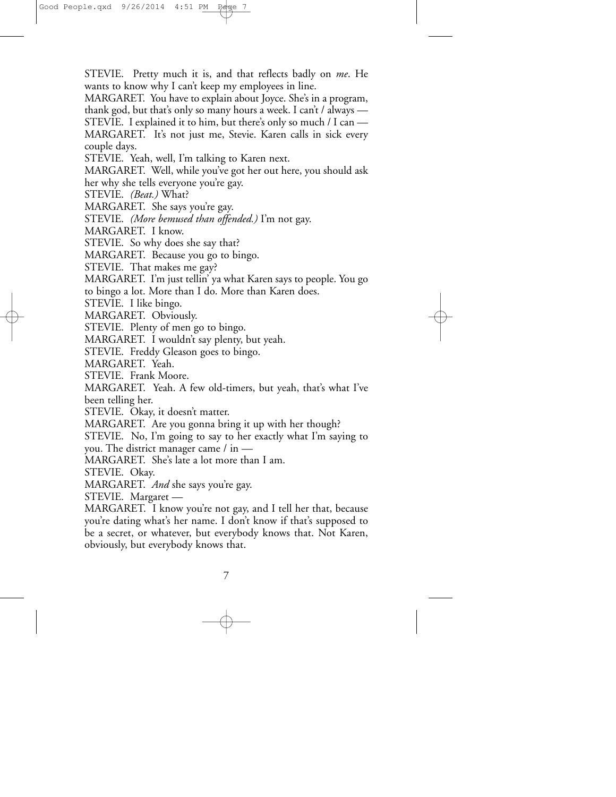STEVIE. Pretty much it is, and that reflects badly on *me*. He wants to know why I can't keep my employees in line.

MARGARET. You have to explain about Joyce. She's in a program, thank god, but that's only so many hours a week. I can't / always —

STEVIE. I explained it to him, but there's only so much / I can —

MARGARET. It's not just me, Stevie. Karen calls in sick every couple days.

STEVIE. Yeah, well, I'm talking to Karen next.

MARGARET. Well, while you've got her out here, you should ask her why she tells everyone you're gay.

STEVIE. *(Beat.)* What?

MARGARET. She says you're gay.

STEVIE. *(More bemused than offended.)* I'm not gay.

MARGARET. I know.

STEVIE. So why does she say that?

MARGARET. Because you go to bingo.

STEVIE. That makes me gay?

MARGARET. I'm just tellin' ya what Karen says to people. You go to bingo a lot. More than I do. More than Karen does.

STEVIE. I like bingo.

MARGARET. Obviously.

STEVIE. Plenty of men go to bingo.

MARGARET. I wouldn't say plenty, but yeah.

STEVIE. Freddy Gleason goes to bingo.

MARGARET. Yeah.

STEVIE. Frank Moore.

MARGARET. Yeah. A few old-timers, but yeah, that's what I've been telling her.

STEVIE. Okay, it doesn't matter.

MARGARET. Are you gonna bring it up with her though?

STEVIE. No, I'm going to say to her exactly what I'm saying to you. The district manager came / in —

MARGARET. She's late a lot more than I am.

STEVIE. Okay.

MARGARET. *And* she says you're gay.

STEVIE. Margaret —

MARGARET. I know you're not gay, and I tell her that, because you're dating what's her name. I don't know if that's supposed to be a secret, or whatever, but everybody knows that. Not Karen, obviously, but everybody knows that.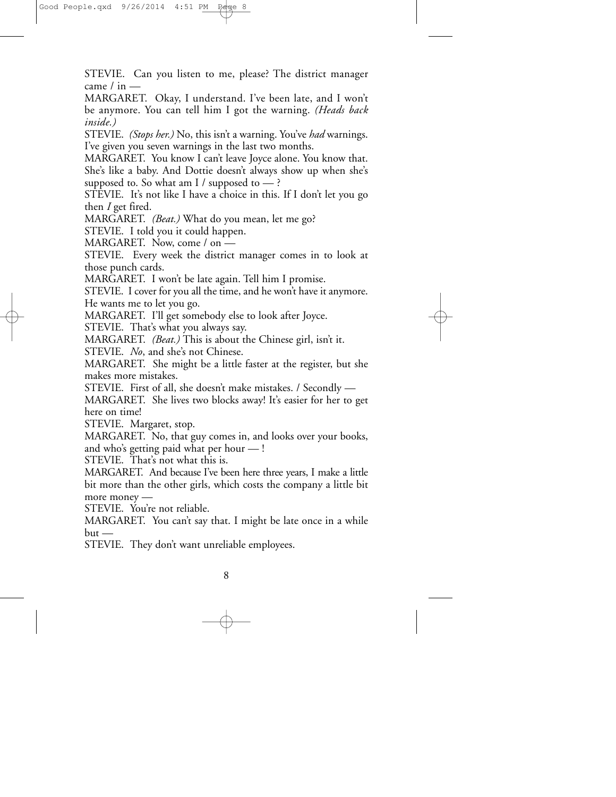STEVIE. Can you listen to me, please? The district manager  $c$ ame  $\ell$  in  $-$ 

MARGARET. Okay, I understand. I've been late, and I won't be anymore. You can tell him I got the warning. *(Heads back inside.)*

STEVIE. *(Stops her.)* No, this isn't a warning. You've *had* warnings. I've given you seven warnings in the last two months.

MARGARET. You know I can't leave Joyce alone. You know that. She's like a baby. And Dottie doesn't always show up when she's supposed to. So what am I / supposed to  $-$  ?

STEVIE. It's not like I have a choice in this. If I don't let you go then *I* get fired.

MARGARET. *(Beat.)* What do you mean, let me go?

STEVIE. I told you it could happen.

MARGARET. Now, come / on —

STEVIE. Every week the district manager comes in to look at those punch cards.

MARGARET. I won't be late again. Tell him I promise.

STEVIE. I cover for you all the time, and he won't have it anymore. He wants me to let you go.

MARGARET. I'll get somebody else to look after Joyce.

STEVIE. That's what you always say.

MARGARET. *(Beat.)* This is about the Chinese girl, isn't it.

STEVIE. *No*, and she's not Chinese.

MARGARET. She might be a little faster at the register, but she makes more mistakes.

STEVIE. First of all, she doesn't make mistakes. / Secondly —

MARGARET. She lives two blocks away! It's easier for her to get here on time!

STEVIE. Margaret, stop.

MARGARET. No, that guy comes in, and looks over your books, and who's getting paid what per hour — !

STEVIE. That's not what this is.

MARGARET. And because I've been here three years, I make a little bit more than the other girls, which costs the company a little bit more money —

STEVIE. You're not reliable.

MARGARET. You can't say that. I might be late once in a while  $but -$ 

STEVIE. They don't want unreliable employees.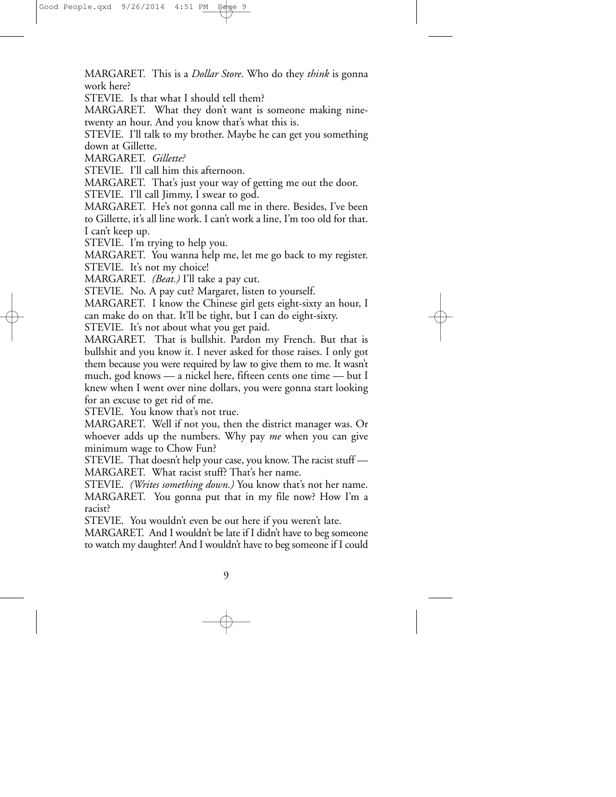MARGARET. This is a *Dollar Store*. Who do they *think* is gonna work here?

STEVIE. Is that what I should tell them?

MARGARET. What they don't want is someone making ninetwenty an hour. And you know that's what this is.

STEVIE. I'll talk to my brother. Maybe he can get you something down at Gillette.

MARGARET. *Gillette?*

STEVIE. I'll call him this afternoon.

MARGARET. That's just your way of getting me out the door.

STEVIE. I'll call Jimmy, I swear to god.

MARGARET. He's not gonna call me in there. Besides, I've been to Gillette, it's all line work. I can't work a line, I'm too old for that. I can't keep up.

STEVIE. I'm trying to help you.

MARGARET. You wanna help me, let me go back to my register. STEVIE. It's not my choice!

MARGARET. *(Beat.)* I'll take a pay cut.

STEVIE. No. A pay cut? Margaret, listen to yourself.

MARGARET. I know the Chinese girl gets eight-sixty an hour, I can make do on that. It'll be tight, but I can do eight-sixty.

STEVIE. It's not about what you get paid.

MARGARET. That is bullshit. Pardon my French. But that is bullshit and you know it. I never asked for those raises. I only got them because you were required by law to give them to me. It wasn't much, god knows — a nickel here, fifteen cents one time — but I knew when I went over nine dollars, you were gonna start looking for an excuse to get rid of me.

STEVIE. You know that's not true.

MARGARET. Well if not you, then the district manager was. Or whoever adds up the numbers. Why pay *me* when you can give minimum wage to Chow Fun?

STEVIE. That doesn't help your case, you know. The racist stuff — MARGARET. What racist stuff? That's her name.

STEVIE. *(Writes something down.)* You know that's not her name. MARGARET. You gonna put that in my file now? How I'm a racist?

STEVIE. You wouldn't even be out here if you weren't late.

MARGARET. And I wouldn't be late if I didn't have to beg someone to watch my daughter! And I wouldn't have to beg someone if I could